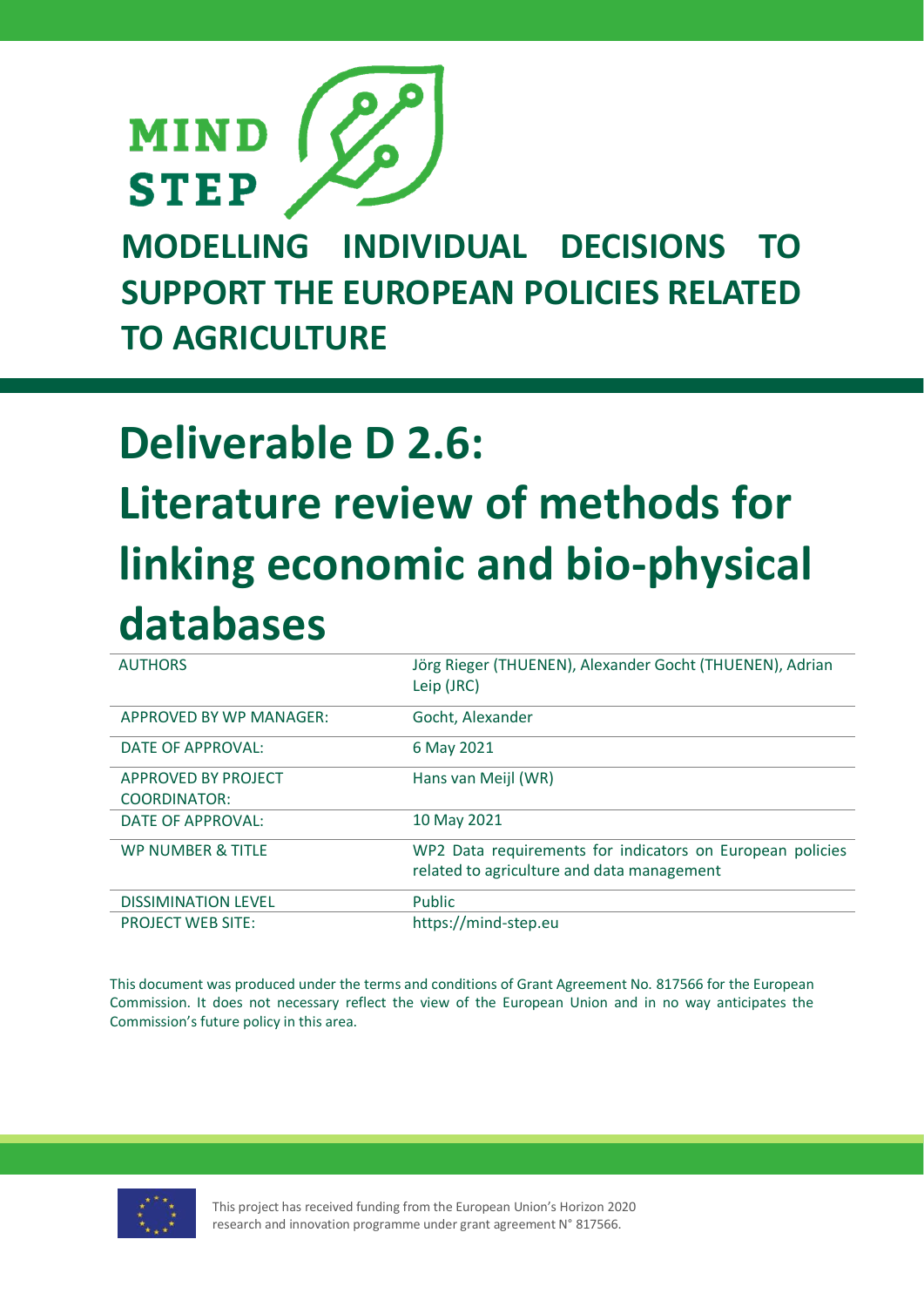

**MODELLING INDIVIDUAL DECISIONS TO SUPPORT THE EUROPEAN POLICIES RELATED TO AGRICULTURE**

# **Deliverable D 2.6: Literature review of methods for linking economic and bio-physical**   $d$ atabases

| <b>AUTHORS</b>               | Jörg Rieger (THUENEN), Alexander Gocht (THUENEN), Adrian<br>Leip (JRC)                                  |
|------------------------------|---------------------------------------------------------------------------------------------------------|
| APPROVED BY WP MANAGER:      | Gocht, Alexander                                                                                        |
| DATE OF APPROVAL:            | 6 May 2021                                                                                              |
| <b>APPROVED BY PROJECT</b>   | Hans van Meijl (WR)                                                                                     |
| COORDINATOR:                 |                                                                                                         |
| DATE OF APPROVAL:            | 10 May 2021                                                                                             |
| <b>WP NUMBER &amp; TITLE</b> | WP2 Data requirements for indicators on European policies<br>related to agriculture and data management |
| <b>DISSIMINATION LEVEL</b>   | Public                                                                                                  |
| <b>PROJECT WEB SITE:</b>     | https://mind-step.eu                                                                                    |

This document was produced under the terms and conditions of Grant Agreement No. 817566 for the European Commission. It does not necessary reflect the view of the European Union and in no way anticipates the Commission's future policy in this area.



This project has received funding from the European Union's Horizon 2020 research and innovation programme under grant agreement N° 817566.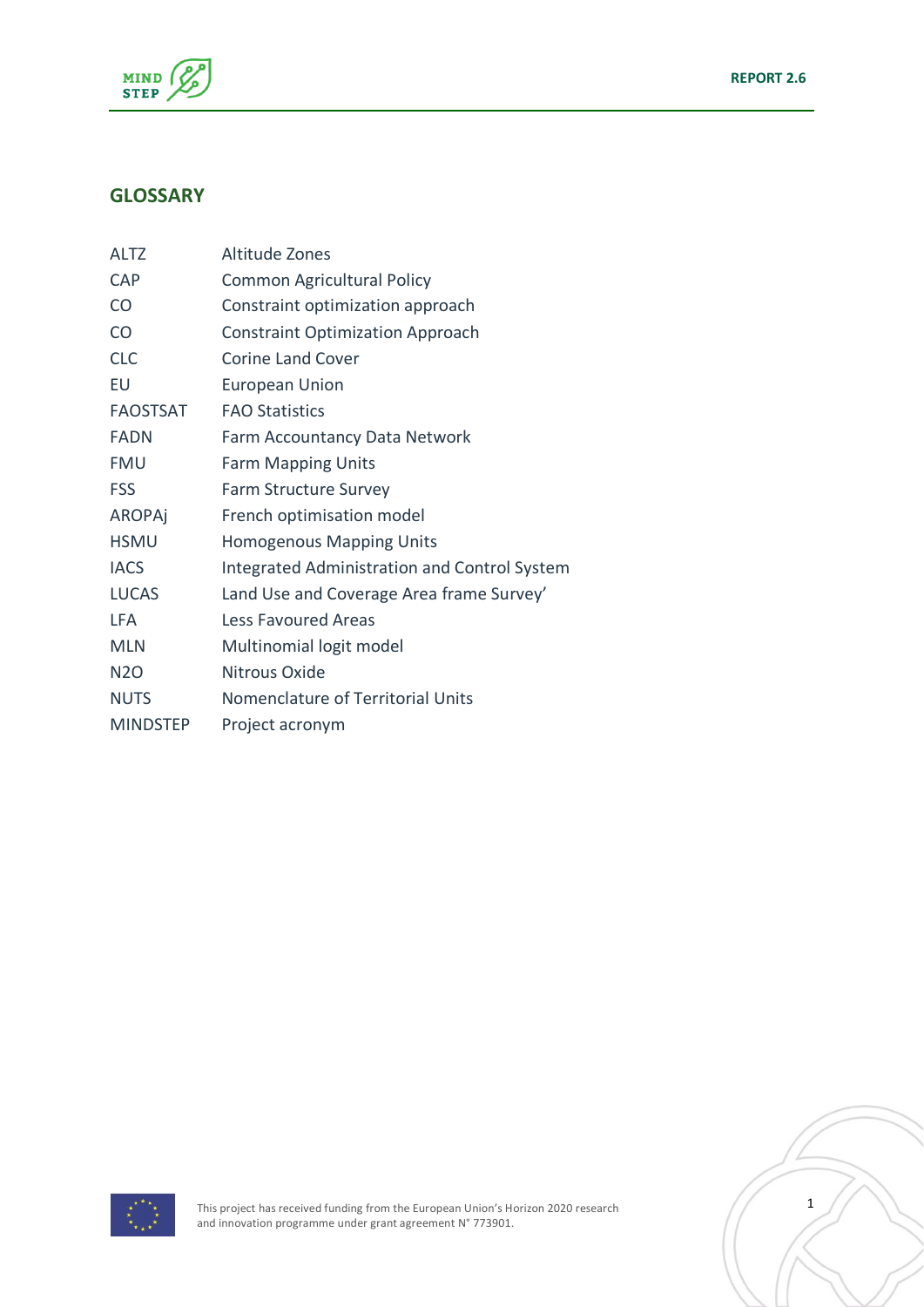



#### **GLOSSARY**

| <b>ALTZ</b>     | Altitude Zones                               |
|-----------------|----------------------------------------------|
| CAP             | <b>Common Agricultural Policy</b>            |
| CO              | Constraint optimization approach             |
| CO              | <b>Constraint Optimization Approach</b>      |
| <b>CLC</b>      | <b>Corine Land Cover</b>                     |
| EU              | <b>European Union</b>                        |
| <b>FAOSTSAT</b> | <b>FAO Statistics</b>                        |
| <b>FADN</b>     | Farm Accountancy Data Network                |
| <b>FMU</b>      | <b>Farm Mapping Units</b>                    |
| <b>FSS</b>      | <b>Farm Structure Survey</b>                 |
| <b>AROPAj</b>   | French optimisation model                    |
| <b>HSMU</b>     | <b>Homogenous Mapping Units</b>              |
| <b>IACS</b>     | Integrated Administration and Control System |
| <b>LUCAS</b>    | Land Use and Coverage Area frame Survey'     |
| LFA             | <b>Less Favoured Areas</b>                   |
| <b>MLN</b>      | Multinomial logit model                      |
| <b>N2O</b>      | Nitrous Oxide                                |
| <b>NUTS</b>     | Nomenclature of Territorial Units            |
| <b>MINDSTEP</b> | Project acronym                              |





This project has received funding from the European Union's Horizon 2020 research **1** and innovation programme under grant agreement N° 773901.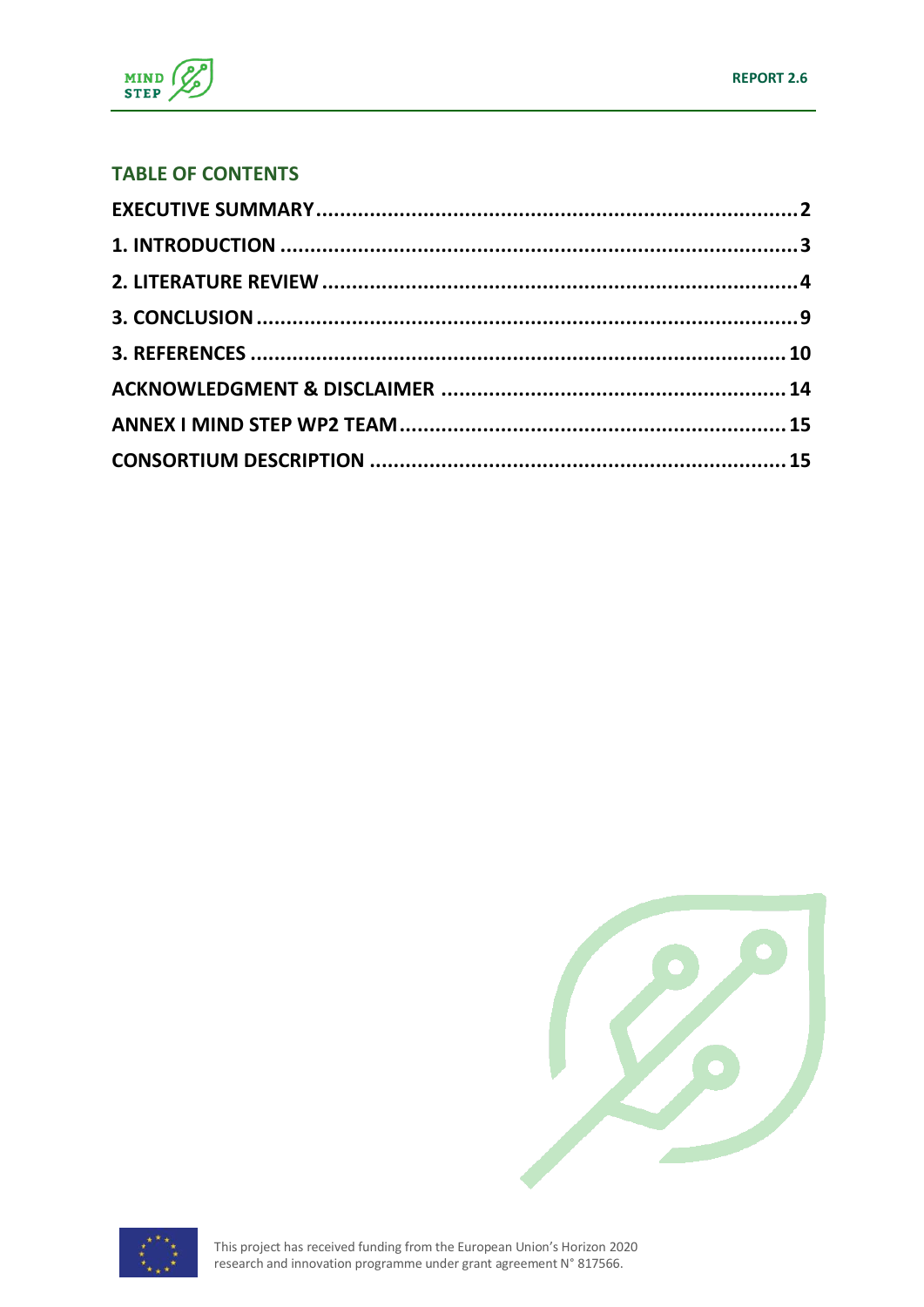

#### **TABLE OF CONTENTS**





This project has received funding from the European Union's Horizon 2020 research and innovation programme under grant agreement N° 817566.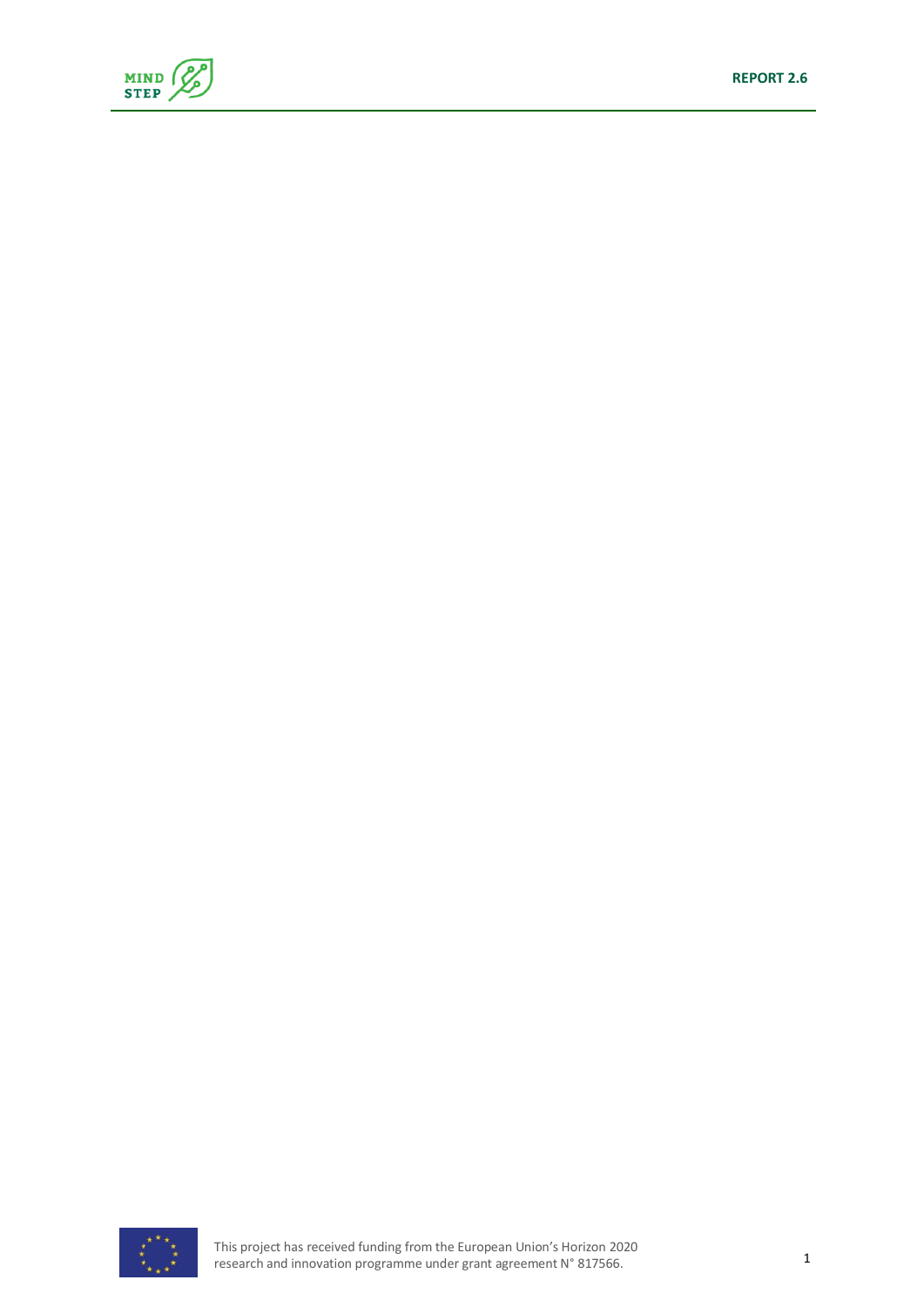





This project has received funding from the European Union's Horizon 2020 research and innovation programme under grant agreement N° 817566.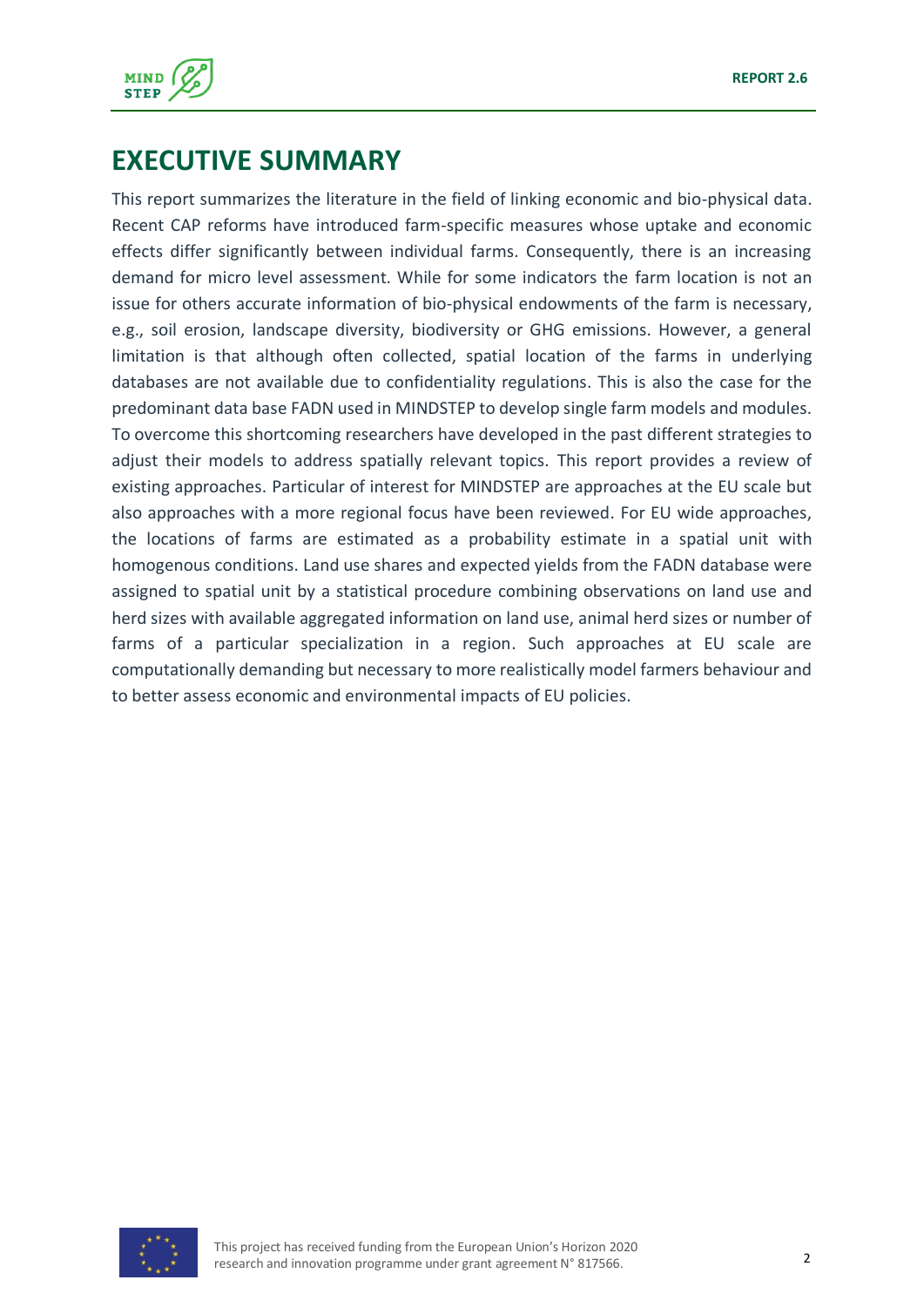

### <span id="page-4-0"></span>**EXECUTIVE SUMMARY**

This report summarizes the literature in the field of linking economic and bio-physical data. Recent CAP reforms have introduced farm-specific measures whose uptake and economic effects differ significantly between individual farms. Consequently, there is an increasing demand for micro level assessment. While for some indicators the farm location is not an issue for others accurate information of bio-physical endowments of the farm is necessary, e.g., soil erosion, landscape diversity, biodiversity or GHG emissions. However, a general limitation is that although often collected, spatial location of the farms in underlying databases are not available due to confidentiality regulations. This is also the case for the predominant data base FADN used in MINDSTEP to develop single farm models and modules. To overcome this shortcoming researchers have developed in the past different strategies to adjust their models to address spatially relevant topics. This report provides a review of existing approaches. Particular of interest for MINDSTEP are approaches at the EU scale but also approaches with a more regional focus have been reviewed. For EU wide approaches, the locations of farms are estimated as a probability estimate in a spatial unit with homogenous conditions. Land use shares and expected yields from the FADN database were assigned to spatial unit by a statistical procedure combining observations on land use and herd sizes with available aggregated information on land use, animal herd sizes or number of farms of a particular specialization in a region. Such approaches at EU scale are computationally demanding but necessary to more realistically model farmers behaviour and to better assess economic and environmental impacts of EU policies.

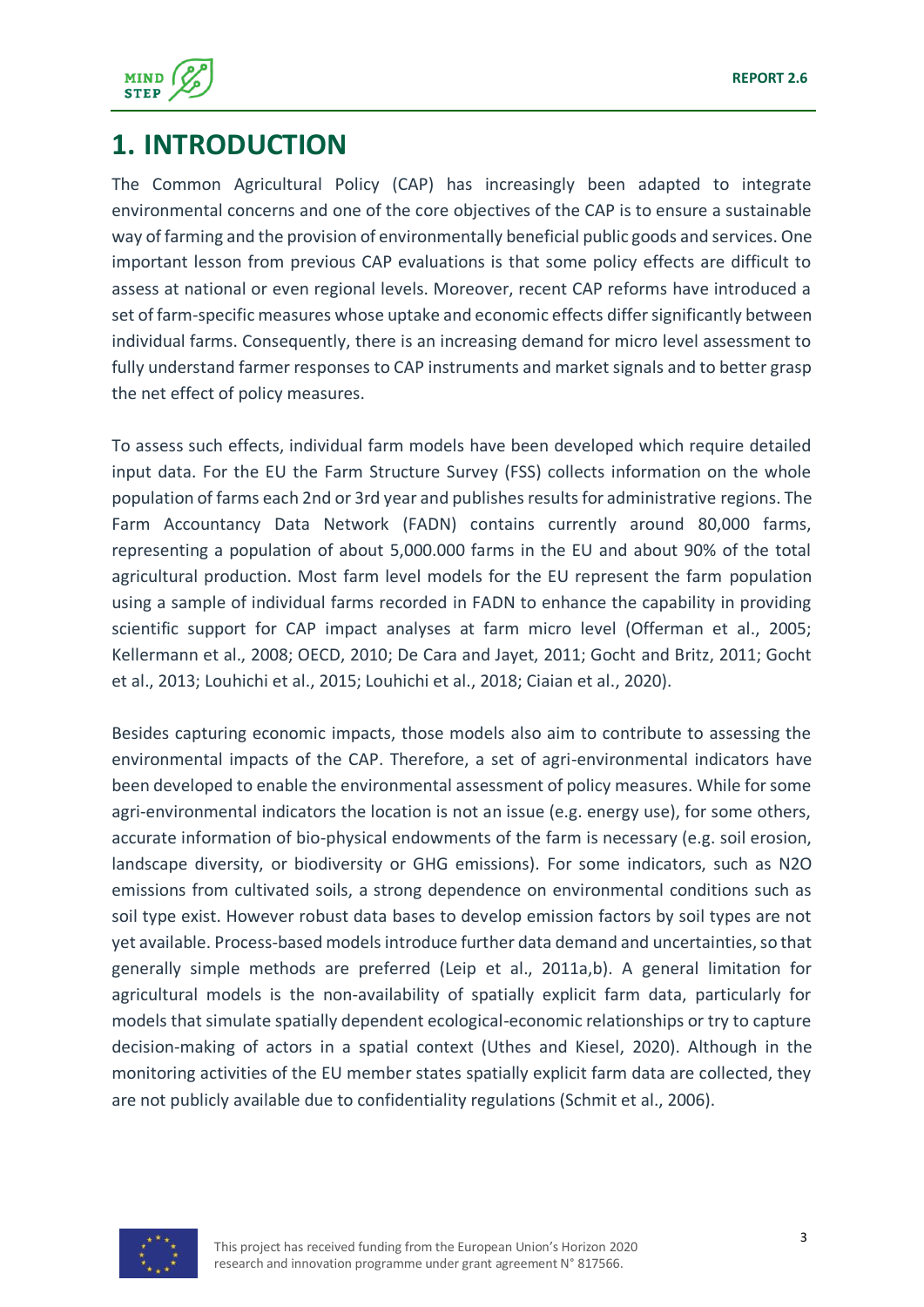

### <span id="page-5-0"></span>**1. INTRODUCTION**

The Common Agricultural Policy (CAP) has increasingly been adapted to integrate environmental concerns and one of the core objectives of the CAP is to ensure a sustainable way of farming and the provision of environmentally beneficial public goods and services. One important lesson from previous CAP evaluations is that some policy effects are difficult to assess at national or even regional levels. Moreover, recent CAP reforms have introduced a set of farm-specific measures whose uptake and economic effects differ significantly between individual farms. Consequently, there is an increasing demand for micro level assessment to fully understand farmer responses to CAP instruments and market signals and to better grasp the net effect of policy measures.

To assess such effects, individual farm models have been developed which require detailed input data. For the EU the Farm Structure Survey (FSS) collects information on the whole population of farms each 2nd or 3rd year and publishes results for administrative regions. The Farm Accountancy Data Network (FADN) contains currently around 80,000 farms, representing a population of about 5,000.000 farms in the EU and about 90% of the total agricultural production. Most farm level models for the EU represent the farm population using a sample of individual farms recorded in FADN to enhance the capability in providing scientific support for CAP impact analyses at farm micro level (Offerman et al., 2005; Kellermann et al., 2008; OECD, 2010; De Cara and Jayet, 2011; Gocht and Britz, 2011; Gocht et al., 2013; Louhichi et al., 2015; Louhichi et al., 2018; Ciaian et al., 2020).

Besides capturing economic impacts, those models also aim to contribute to assessing the environmental impacts of the CAP. Therefore, a set of agri-environmental indicators have been developed to enable the environmental assessment of policy measures. While for some agri-environmental indicators the location is not an issue (e.g. energy use), for some others, accurate information of bio-physical endowments of the farm is necessary (e.g. soil erosion, landscape diversity, or biodiversity or GHG emissions). For some indicators, such as N2O emissions from cultivated soils, a strong dependence on environmental conditions such as soil type exist. However robust data bases to develop emission factors by soil types are not yet available. Process-based models introduce further data demand and uncertainties, so that generally simple methods are preferred (Leip et al., 2011a,b). A general limitation for agricultural models is the non-availability of spatially explicit farm data, particularly for models that simulate spatially dependent ecological-economic relationships or try to capture decision-making of actors in a spatial context (Uthes and Kiesel, 2020). Although in the monitoring activities of the EU member states spatially explicit farm data are collected, they are not publicly available due to confidentiality regulations (Schmit et al., 2006).

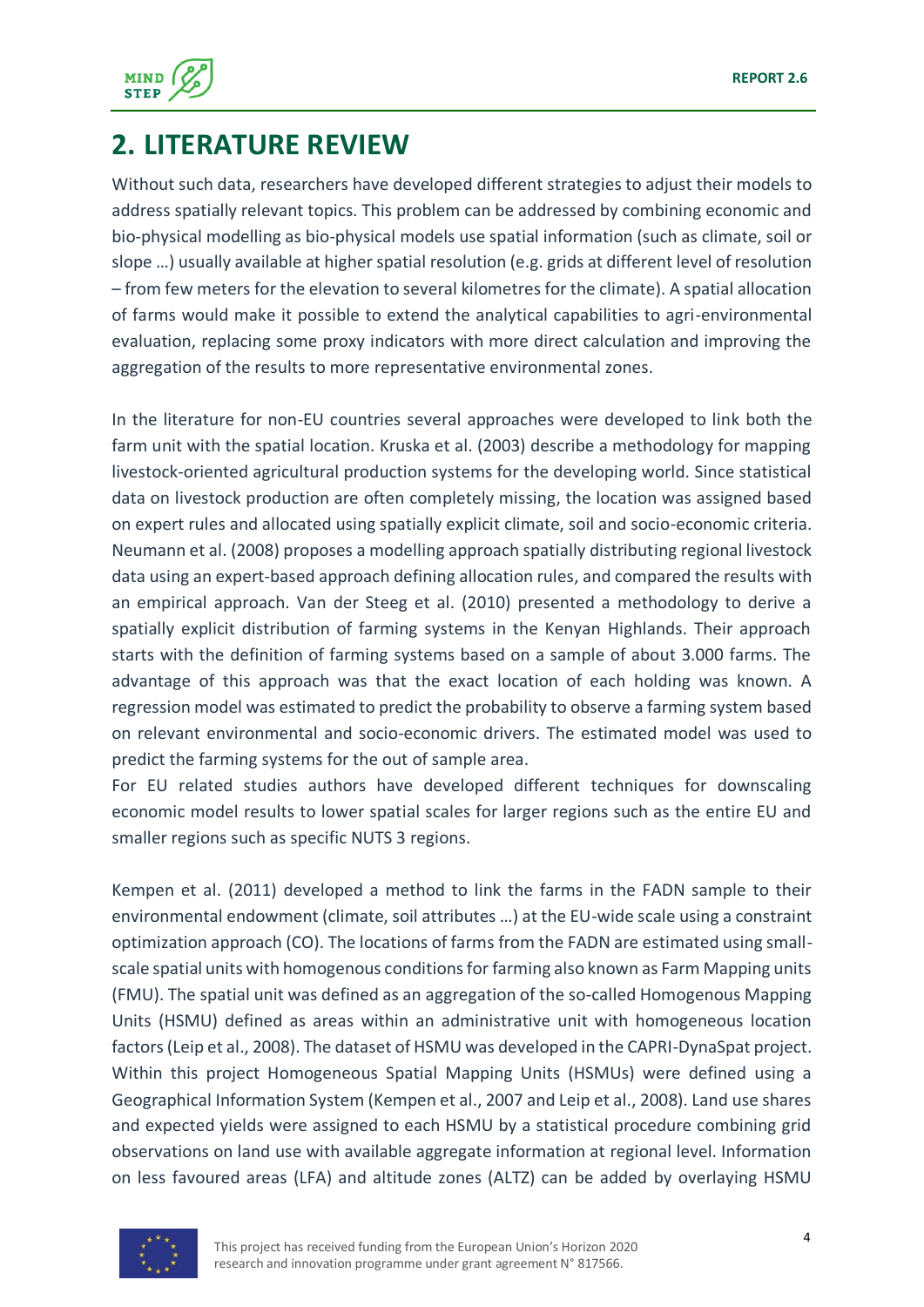

## <span id="page-6-0"></span>**2. LITERATURE REVIEW**

Without such data, researchers have developed different strategies to adjust their models to address spatially relevant topics. This problem can be addressed by combining economic and bio-physical modelling as bio-physical models use spatial information (such as climate, soil or slope …) usually available at higher spatial resolution (e.g. grids at different level of resolution – from few meters for the elevation to several kilometres for the climate). A spatial allocation of farms would make it possible to extend the analytical capabilities to agri-environmental evaluation, replacing some proxy indicators with more direct calculation and improving the aggregation of the results to more representative environmental zones.

In the literature for non-EU countries several approaches were developed to link both the farm unit with the spatial location. Kruska et al. (2003) describe a methodology for mapping livestock-oriented agricultural production systems for the developing world. Since statistical data on livestock production are often completely missing, the location was assigned based on expert rules and allocated using spatially explicit climate, soil and socio-economic criteria. Neumann et al. (2008) proposes a modelling approach spatially distributing regional livestock data using an expert-based approach defining allocation rules, and compared the results with an empirical approach. Van der Steeg et al. (2010) presented a methodology to derive a spatially explicit distribution of farming systems in the Kenyan Highlands. Their approach starts with the definition of farming systems based on a sample of about 3.000 farms. The advantage of this approach was that the exact location of each holding was known. A regression model was estimated to predict the probability to observe a farming system based on relevant environmental and socio-economic drivers. The estimated model was used to predict the farming systems for the out of sample area.

For EU related studies authors have developed different techniques for downscaling economic model results to lower spatial scales for larger regions such as the entire EU and smaller regions such as specific NUTS 3 regions.

Kempen et al. (2011) developed a method to link the farms in the FADN sample to their environmental endowment (climate, soil attributes …) at the EU-wide scale using a constraint optimization approach (CO). The locations of farms from the FADN are estimated using smallscale spatial units with homogenous conditions for farming also known as Farm Mapping units (FMU). The spatial unit was defined as an aggregation of the so-called Homogenous Mapping Units (HSMU) defined as areas within an administrative unit with homogeneous location factors (Leip et al., 2008). The dataset of HSMU was developed in the CAPRI-DynaSpat project. Within this project Homogeneous Spatial Mapping Units (HSMUs) were defined using a Geographical Information System (Kempen et al., 2007 and Leip et al., 2008). Land use shares and expected yields were assigned to each HSMU by a statistical procedure combining grid observations on land use with available aggregate information at regional level. Information on less favoured areas (LFA) and altitude zones (ALTZ) can be added by overlaying HSMU

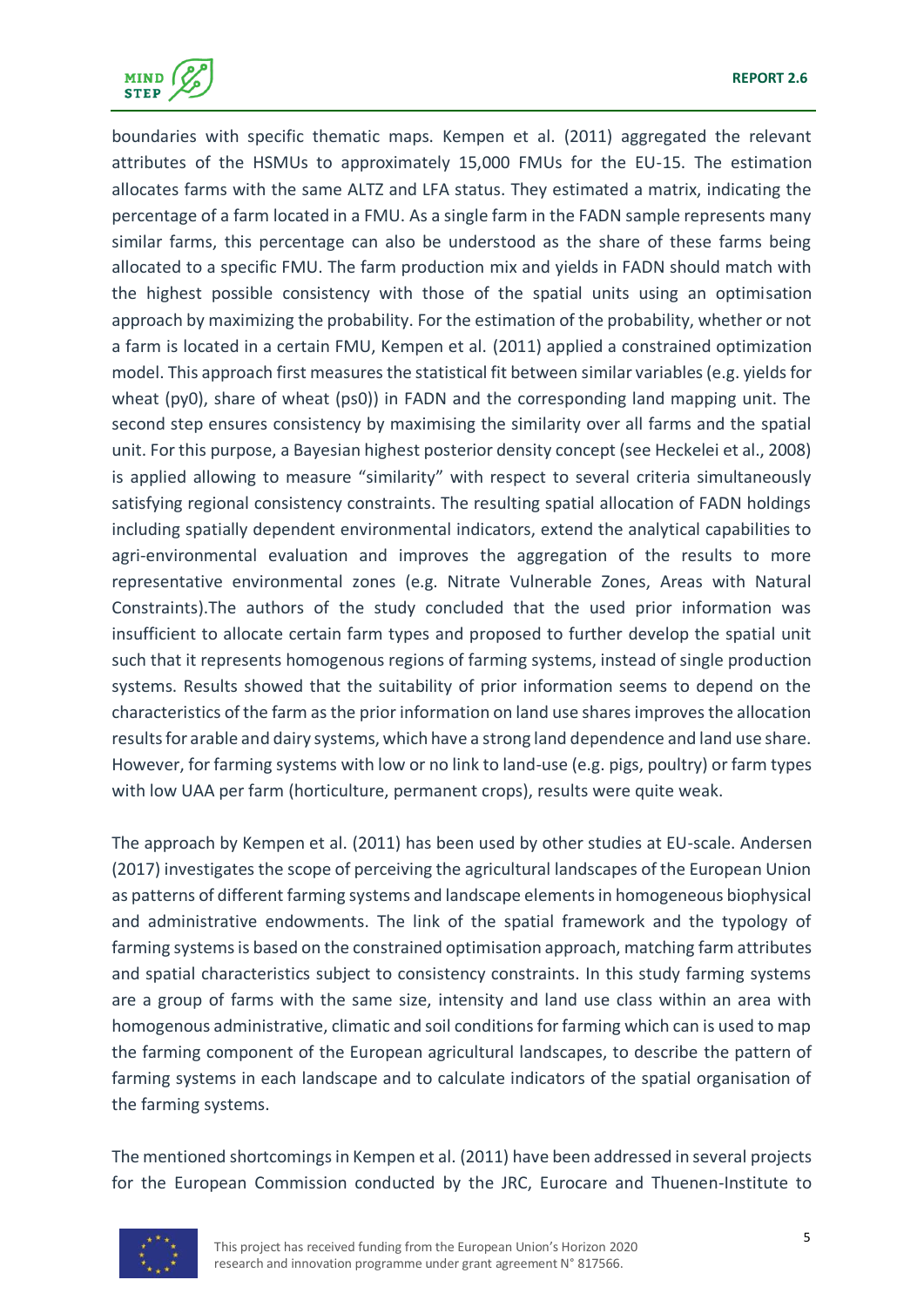

boundaries with specific thematic maps. Kempen et al. (2011) aggregated the relevant attributes of the HSMUs to approximately 15,000 FMUs for the EU-15. The estimation allocates farms with the same ALTZ and LFA status. They estimated a matrix, indicating the percentage of a farm located in a FMU. As a single farm in the FADN sample represents many similar farms, this percentage can also be understood as the share of these farms being allocated to a specific FMU. The farm production mix and yields in FADN should match with the highest possible consistency with those of the spatial units using an optimisation approach by maximizing the probability. For the estimation of the probability, whether or not a farm is located in a certain FMU, Kempen et al. (2011) applied a constrained optimization model. This approach first measures the statistical fit between similar variables (e.g. yields for wheat (py0), share of wheat (ps0)) in FADN and the corresponding land mapping unit. The second step ensures consistency by maximising the similarity over all farms and the spatial unit. For this purpose, a Bayesian highest posterior density concept (see Heckelei et al., 2008) is applied allowing to measure "similarity" with respect to several criteria simultaneously satisfying regional consistency constraints. The resulting spatial allocation of FADN holdings including spatially dependent environmental indicators, extend the analytical capabilities to agri-environmental evaluation and improves the aggregation of the results to more representative environmental zones (e.g. Nitrate Vulnerable Zones, Areas with Natural Constraints).The authors of the study concluded that the used prior information was insufficient to allocate certain farm types and proposed to further develop the spatial unit such that it represents homogenous regions of farming systems, instead of single production systems. Results showed that the suitability of prior information seems to depend on the characteristics of the farm as the prior information on land use shares improves the allocation results for arable and dairy systems, which have a strong land dependence and land use share. However, for farming systems with low or no link to land-use (e.g. pigs, poultry) or farm types with low UAA per farm (horticulture, permanent crops), results were quite weak.

The approach by Kempen et al. (2011) has been used by other studies at EU-scale. Andersen (2017) investigates the scope of perceiving the agricultural landscapes of the European Union as patterns of different farming systems and landscape elements in homogeneous biophysical and administrative endowments. The link of the spatial framework and the typology of farming systems is based on the constrained optimisation approach, matching farm attributes and spatial characteristics subject to consistency constraints. In this study farming systems are a group of farms with the same size, intensity and land use class within an area with homogenous administrative, climatic and soil conditions for farming which can is used to map the farming component of the European agricultural landscapes, to describe the pattern of farming systems in each landscape and to calculate indicators of the spatial organisation of the farming systems.

The mentioned shortcomings in Kempen et al. (2011) have been addressed in several projects for the European Commission conducted by the JRC, Eurocare and Thuenen-Institute to

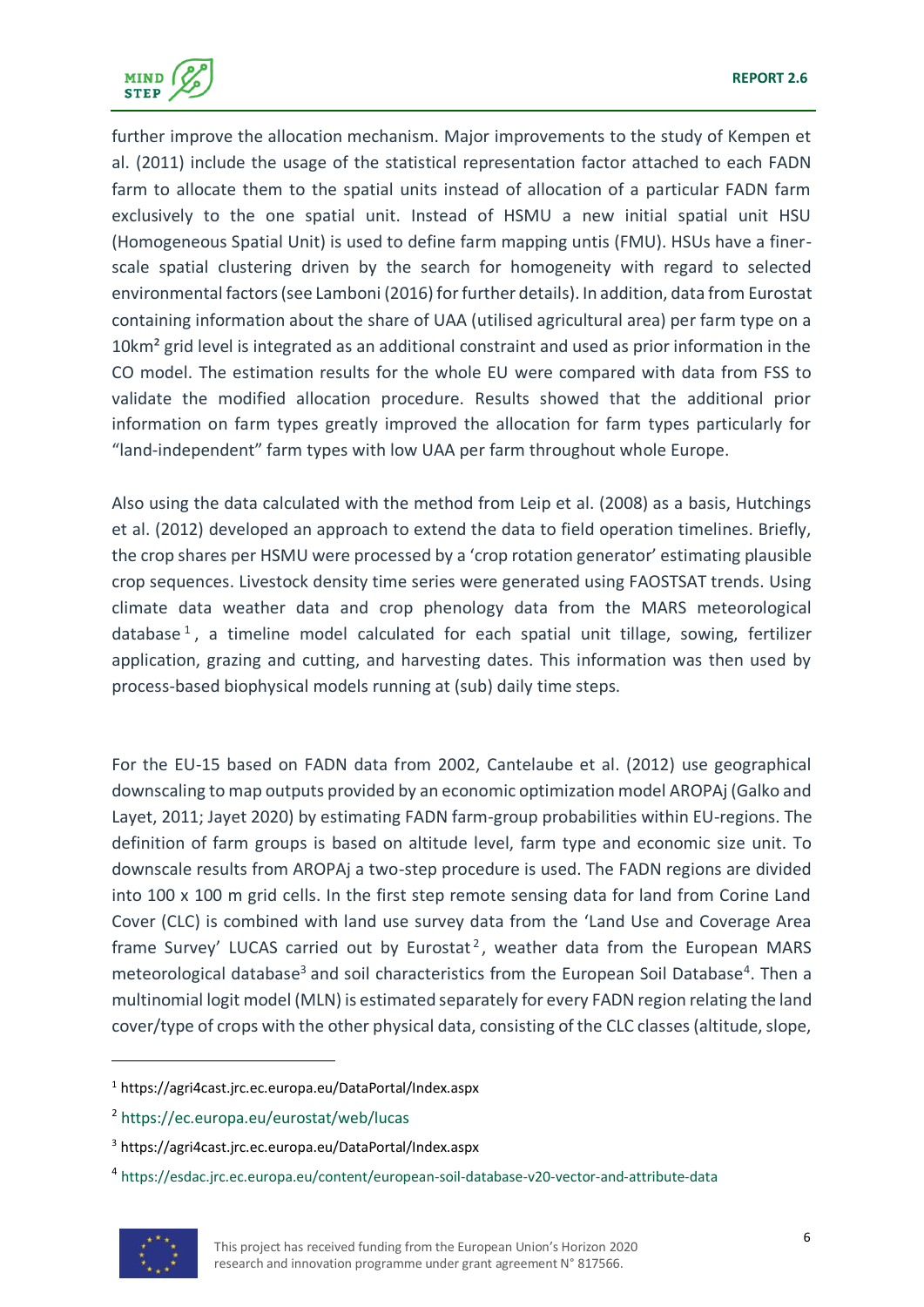

further improve the allocation mechanism. Major improvements to the study of Kempen et al. (2011) include the usage of the statistical representation factor attached to each FADN farm to allocate them to the spatial units instead of allocation of a particular FADN farm exclusively to the one spatial unit. Instead of HSMU a new initial spatial unit HSU (Homogeneous Spatial Unit) is used to define farm mapping untis (FMU). HSUs have a finerscale spatial clustering driven by the search for homogeneity with regard to selected environmental factors (see Lamboni (2016) for further details). In addition, data from Eurostat containing information about the share of UAA (utilised agricultural area) per farm type on a 10km<sup>2</sup> grid level is integrated as an additional constraint and used as prior information in the CO model. The estimation results for the whole EU were compared with data from FSS to validate the modified allocation procedure. Results showed that the additional prior information on farm types greatly improved the allocation for farm types particularly for "land-independent" farm types with low UAA per farm throughout whole Europe.

Also using the data calculated with the method from Leip et al. (2008) as a basis, Hutchings et al. (2012) developed an approach to extend the data to field operation timelines. Briefly, the crop shares per HSMU were processed by a 'crop rotation generator' estimating plausible crop sequences. Livestock density time series were generated using FAOSTSAT trends. Using climate data weather data and crop phenology data from the MARS meteorological database<sup>1</sup>, a timeline model calculated for each spatial unit tillage, sowing, fertilizer application, grazing and cutting, and harvesting dates. This information was then used by process-based biophysical models running at (sub) daily time steps.

For the EU-15 based on FADN data from 2002, Cantelaube et al. (2012) use geographical downscaling to map outputs provided by an economic optimization model AROPAj (Galko and Layet, 2011; Jayet 2020) by estimating FADN farm-group probabilities within EU-regions. The definition of farm groups is based on altitude level, farm type and economic size unit. To downscale results from AROPAj a two-step procedure is used. The FADN regions are divided into 100 x 100 m grid cells. In the first step remote sensing data for land from Corine Land Cover (CLC) is combined with land use survey data from the 'Land Use and Coverage Area frame Survey' LUCAS carried out by Eurostat<sup>2</sup>, weather data from the European MARS meteorological database<sup>3</sup> and soil characteristics from the European Soil Database<sup>4</sup>. Then a multinomial logit model (MLN) is estimated separately for every FADN region relating the land cover/type of crops with the other physical data, consisting of the CLC classes (altitude, slope,

<sup>4</sup> <https://esdac.jrc.ec.europa.eu/content/european-soil-database-v20-vector-and-attribute-data>



<sup>1</sup> https://agri4cast.jrc.ec.europa.eu/DataPortal/Index.aspx

<sup>2</sup> <https://ec.europa.eu/eurostat/web/lucas>

<sup>3</sup> https://agri4cast.jrc.ec.europa.eu/DataPortal/Index.aspx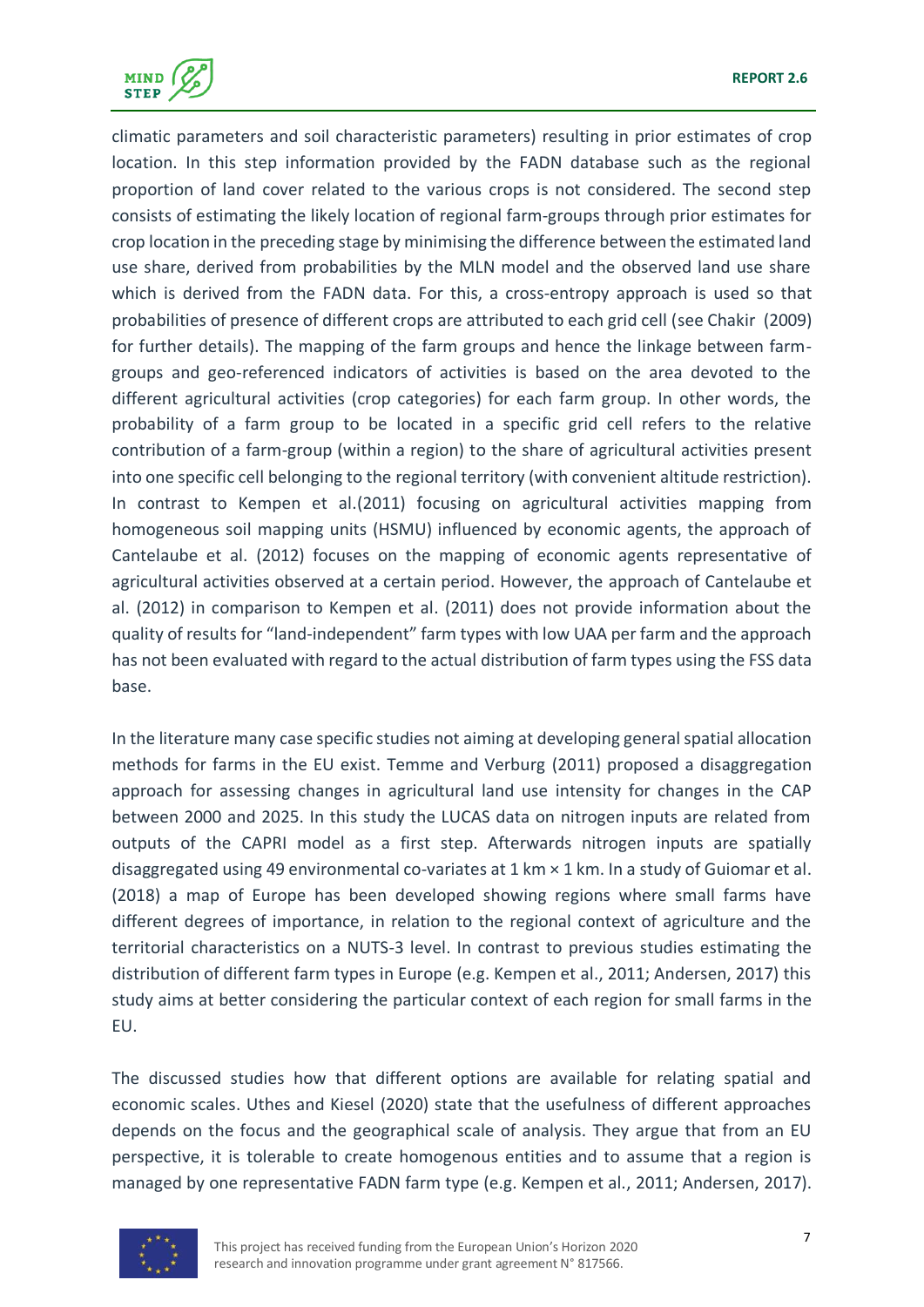

climatic parameters and soil characteristic parameters) resulting in prior estimates of crop location. In this step information provided by the FADN database such as the regional proportion of land cover related to the various crops is not considered. The second step consists of estimating the likely location of regional farm-groups through prior estimates for crop location in the preceding stage by minimising the difference between the estimated land use share, derived from probabilities by the MLN model and the observed land use share which is derived from the FADN data. For this, a cross-entropy approach is used so that probabilities of presence of different crops are attributed to each grid cell (see Chakir (2009) for further details). The mapping of the farm groups and hence the linkage between farmgroups and geo-referenced indicators of activities is based on the area devoted to the different agricultural activities (crop categories) for each farm group. In other words, the probability of a farm group to be located in a specific grid cell refers to the relative contribution of a farm-group (within a region) to the share of agricultural activities present into one specific cell belonging to the regional territory (with convenient altitude restriction). In contrast to Kempen et al.(2011) focusing on agricultural activities mapping from homogeneous soil mapping units (HSMU) influenced by economic agents, the approach of Cantelaube et al. (2012) focuses on the mapping of economic agents representative of agricultural activities observed at a certain period. However, the approach of Cantelaube et al. (2012) in comparison to Kempen et al. (2011) does not provide information about the quality of results for "land-independent" farm types with low UAA per farm and the approach has not been evaluated with regard to the actual distribution of farm types using the FSS data base.

In the literature many case specific studies not aiming at developing general spatial allocation methods for farms in the EU exist. Temme and Verburg (2011) proposed a disaggregation approach for assessing changes in agricultural land use intensity for changes in the CAP between 2000 and 2025. In this study the LUCAS data on nitrogen inputs are related from outputs of the CAPRI model as a first step. Afterwards nitrogen inputs are spatially disaggregated using 49 environmental co-variates at 1 km × 1 km. In a study of Guiomar et al. (2018) a map of Europe has been developed showing regions where small farms have different degrees of importance, in relation to the regional context of agriculture and the territorial characteristics on a NUTS-3 level. In contrast to previous studies estimating the distribution of different farm types in Europe (e.g. Kempen et al., 2011; Andersen, 2017) this study aims at better considering the particular context of each region for small farms in the EU.

The discussed studies how that different options are available for relating spatial and economic scales. Uthes and Kiesel (2020) state that the usefulness of different approaches depends on the focus and the geographical scale of analysis. They argue that from an EU perspective, it is tolerable to create homogenous entities and to assume that a region is managed by one representative FADN farm type (e.g. Kempen et al., 2011; Andersen, 2017).

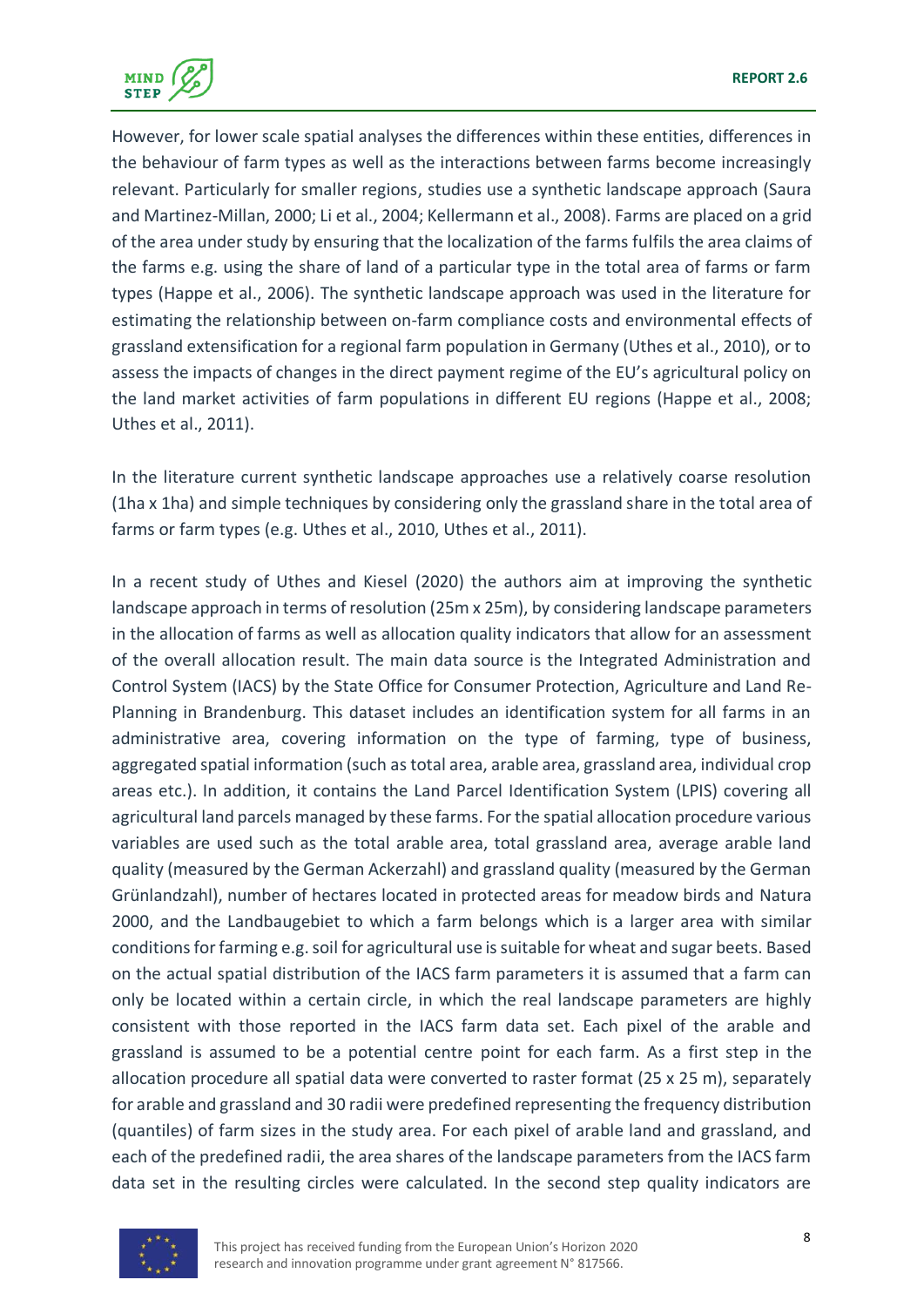

However, for lower scale spatial analyses the differences within these entities, differences in the behaviour of farm types as well as the interactions between farms become increasingly relevant. Particularly for smaller regions, studies use a synthetic landscape approach (Saura and Martinez-Millan, 2000; Li et al., 2004; Kellermann et al., 2008). Farms are placed on a grid of the area under study by ensuring that the localization of the farms fulfils the area claims of the farms e.g. using the share of land of a particular type in the total area of farms or farm types (Happe et al., 2006). The synthetic landscape approach was used in the literature for estimating the relationship between on-farm compliance costs and environmental effects of grassland extensification for a regional farm population in Germany (Uthes et al., 2010), or to assess the impacts of changes in the direct payment regime of the EU's agricultural policy on the land market activities of farm populations in different EU regions (Happe et al., 2008; Uthes et al., 2011).

In the literature current synthetic landscape approaches use a relatively coarse resolution (1ha x 1ha) and simple techniques by considering only the grassland share in the total area of farms or farm types (e.g. Uthes et al., 2010, Uthes et al., 2011).

In a recent study of Uthes and Kiesel (2020) the authors aim at improving the synthetic landscape approach in terms of resolution (25m x 25m), by considering landscape parameters in the allocation of farms as well as allocation quality indicators that allow for an assessment of the overall allocation result. The main data source is the Integrated Administration and Control System (IACS) by the State Office for Consumer Protection, Agriculture and Land Re-Planning in Brandenburg. This dataset includes an identification system for all farms in an administrative area, covering information on the type of farming, type of business, aggregated spatial information (such as total area, arable area, grassland area, individual crop areas etc.). In addition, it contains the Land Parcel Identification System (LPIS) covering all agricultural land parcels managed by these farms. For the spatial allocation procedure various variables are used such as the total arable area, total grassland area, average arable land quality (measured by the German Ackerzahl) and grassland quality (measured by the German Grünlandzahl), number of hectares located in protected areas for meadow birds and Natura 2000, and the Landbaugebiet to which a farm belongs which is a larger area with similar conditions for farming e.g. soil for agricultural use is suitable for wheat and sugar beets. Based on the actual spatial distribution of the IACS farm parameters it is assumed that a farm can only be located within a certain circle, in which the real landscape parameters are highly consistent with those reported in the IACS farm data set. Each pixel of the arable and grassland is assumed to be a potential centre point for each farm. As a first step in the allocation procedure all spatial data were converted to raster format (25 x 25 m), separately for arable and grassland and 30 radii were predefined representing the frequency distribution (quantiles) of farm sizes in the study area. For each pixel of arable land and grassland, and each of the predefined radii, the area shares of the landscape parameters from the IACS farm data set in the resulting circles were calculated. In the second step quality indicators are

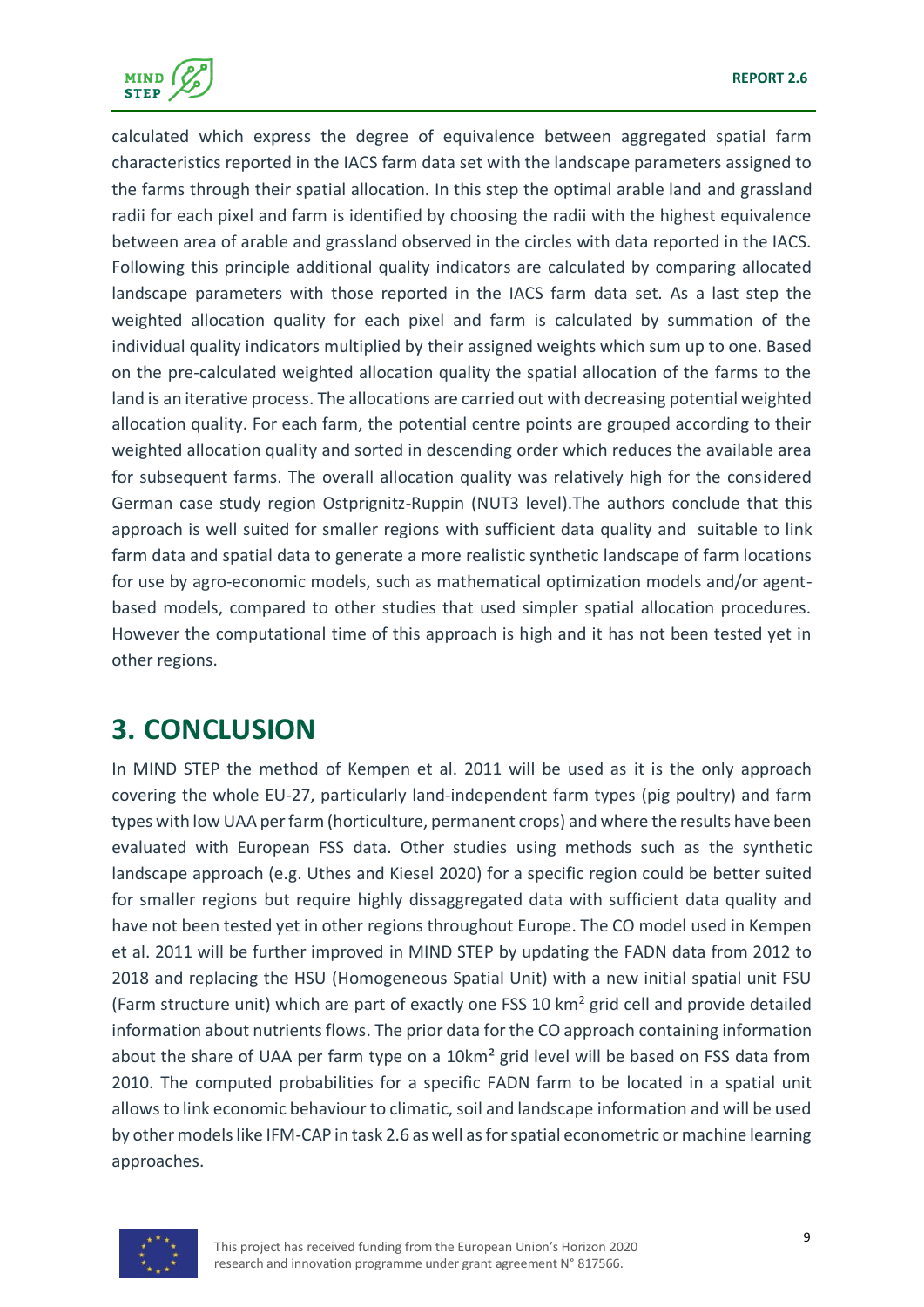

calculated which express the degree of equivalence between aggregated spatial farm characteristics reported in the IACS farm data set with the landscape parameters assigned to the farms through their spatial allocation. In this step the optimal arable land and grassland radii for each pixel and farm is identified by choosing the radii with the highest equivalence between area of arable and grassland observed in the circles with data reported in the IACS. Following this principle additional quality indicators are calculated by comparing allocated landscape parameters with those reported in the IACS farm data set. As a last step the weighted allocation quality for each pixel and farm is calculated by summation of the individual quality indicators multiplied by their assigned weights which sum up to one. Based on the pre-calculated weighted allocation quality the spatial allocation of the farms to the land is an iterative process. The allocations are carried out with decreasing potential weighted allocation quality. For each farm, the potential centre points are grouped according to their weighted allocation quality and sorted in descending order which reduces the available area for subsequent farms. The overall allocation quality was relatively high for the considered German case study region Ostprignitz-Ruppin (NUT3 level).The authors conclude that this approach is well suited for smaller regions with sufficient data quality and suitable to link farm data and spatial data to generate a more realistic synthetic landscape of farm locations for use by agro-economic models, such as mathematical optimization models and/or agentbased models, compared to other studies that used simpler spatial allocation procedures. However the computational time of this approach is high and it has not been tested yet in other regions.

## <span id="page-11-0"></span>**3. CONCLUSION**

In MIND STEP the method of Kempen et al. 2011 will be used as it is the only approach covering the whole EU-27, particularly land-independent farm types (pig poultry) and farm types with low UAA per farm (horticulture, permanent crops) and where the results have been evaluated with European FSS data. Other studies using methods such as the synthetic landscape approach (e.g. Uthes and Kiesel 2020) for a specific region could be better suited for smaller regions but require highly dissaggregated data with sufficient data quality and have not been tested yet in other regions throughout Europe. The CO model used in Kempen et al. 2011 will be further improved in MIND STEP by updating the FADN data from 2012 to 2018 and replacing the HSU (Homogeneous Spatial Unit) with a new initial spatial unit FSU (Farm structure unit) which are part of exactly one FSS 10  $km^2$  grid cell and provide detailed information about nutrients flows. The prior data for the CO approach containing information about the share of UAA per farm type on a 10km<sup>2</sup> grid level will be based on FSS data from 2010. The computed probabilities for a specific FADN farm to be located in a spatial unit allows to link economic behaviour to climatic, soil and landscape information and will be used by other models like IFM-CAP in task 2.6 as well as for spatial econometric or machine learning approaches.

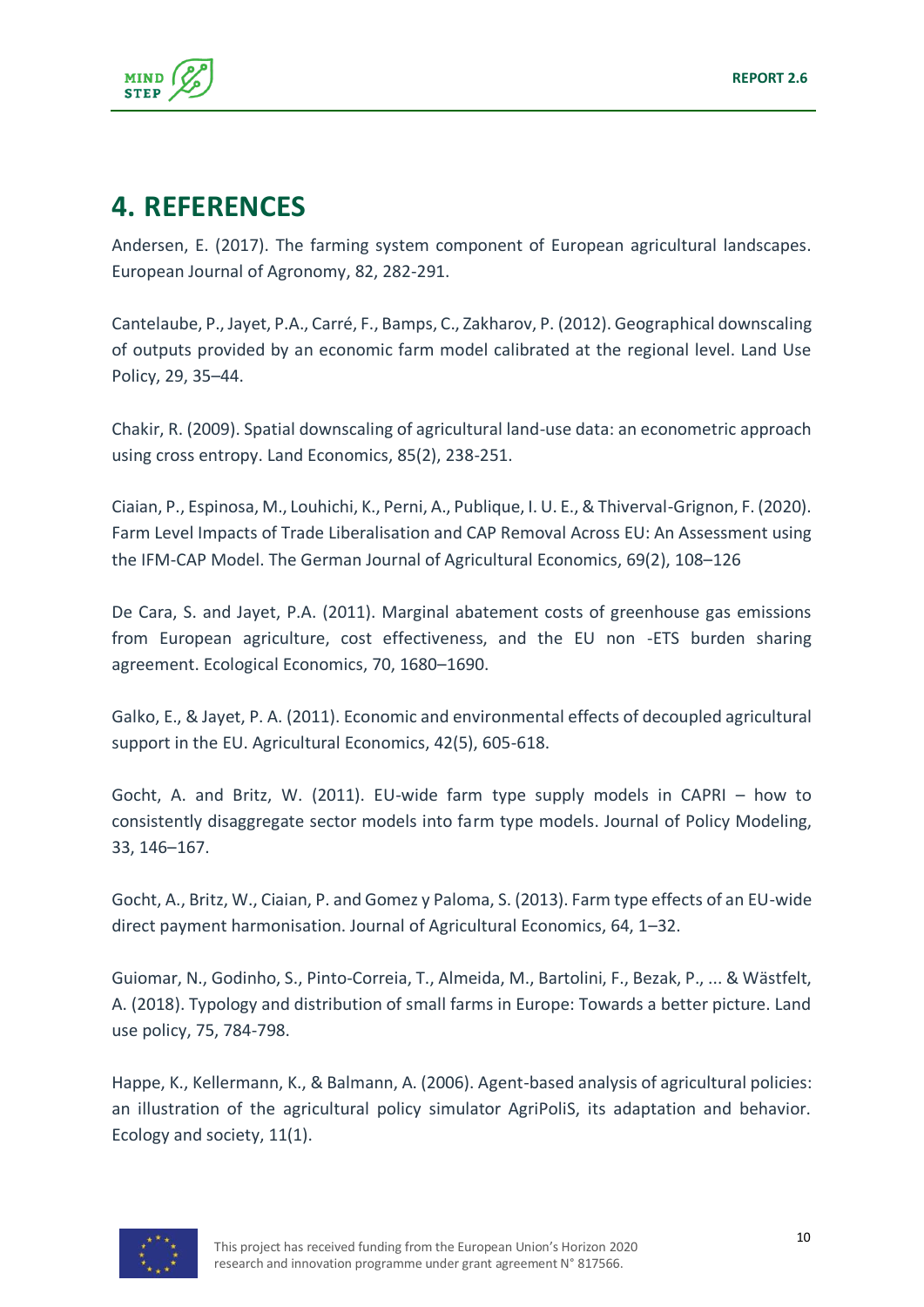

### <span id="page-12-0"></span>**4. REFERENCES**

Andersen, E. (2017). The farming system component of European agricultural landscapes. European Journal of Agronomy, 82, 282-291.

Cantelaube, P., Jayet, P.A., Carré, F., Bamps, C., Zakharov, P. (2012). Geographical downscaling of outputs provided by an economic farm model calibrated at the regional level. Land Use Policy, 29, 35–44.

Chakir, R. (2009). Spatial downscaling of agricultural land-use data: an econometric approach using cross entropy. Land Economics, 85(2), 238-251.

Ciaian, P., Espinosa, M., Louhichi, K., Perni, A., Publique, I. U. E., & Thiverval-Grignon, F. (2020). Farm Level Impacts of Trade Liberalisation and CAP Removal Across EU: An Assessment using the IFM-CAP Model. The German Journal of Agricultural Economics, 69(2), 108–126

De Cara, S. and Jayet, P.A. (2011). Marginal abatement costs of greenhouse gas emissions from European agriculture, cost effectiveness, and the EU non -ETS burden sharing agreement. Ecological Economics, 70, 1680–1690.

Galko, E., & Jayet, P. A. (2011). Economic and environmental effects of decoupled agricultural support in the EU. Agricultural Economics, 42(5), 605-618.

Gocht, A. and Britz, W. (2011). EU-wide farm type supply models in CAPRI – how to consistently disaggregate sector models into farm type models. Journal of Policy Modeling, 33, 146–167.

Gocht, A., Britz, W., Ciaian, P. and Gomez y Paloma, S. (2013). Farm type effects of an EU-wide direct payment harmonisation. Journal of Agricultural Economics, 64, 1–32.

Guiomar, N., Godinho, S., Pinto-Correia, T., Almeida, M., Bartolini, F., Bezak, P., ... & Wästfelt, A. (2018). Typology and distribution of small farms in Europe: Towards a better picture. Land use policy, 75, 784-798.

Happe, K., Kellermann, K., & Balmann, A. (2006). Agent-based analysis of agricultural policies: an illustration of the agricultural policy simulator AgriPoliS, its adaptation and behavior. Ecology and society, 11(1).

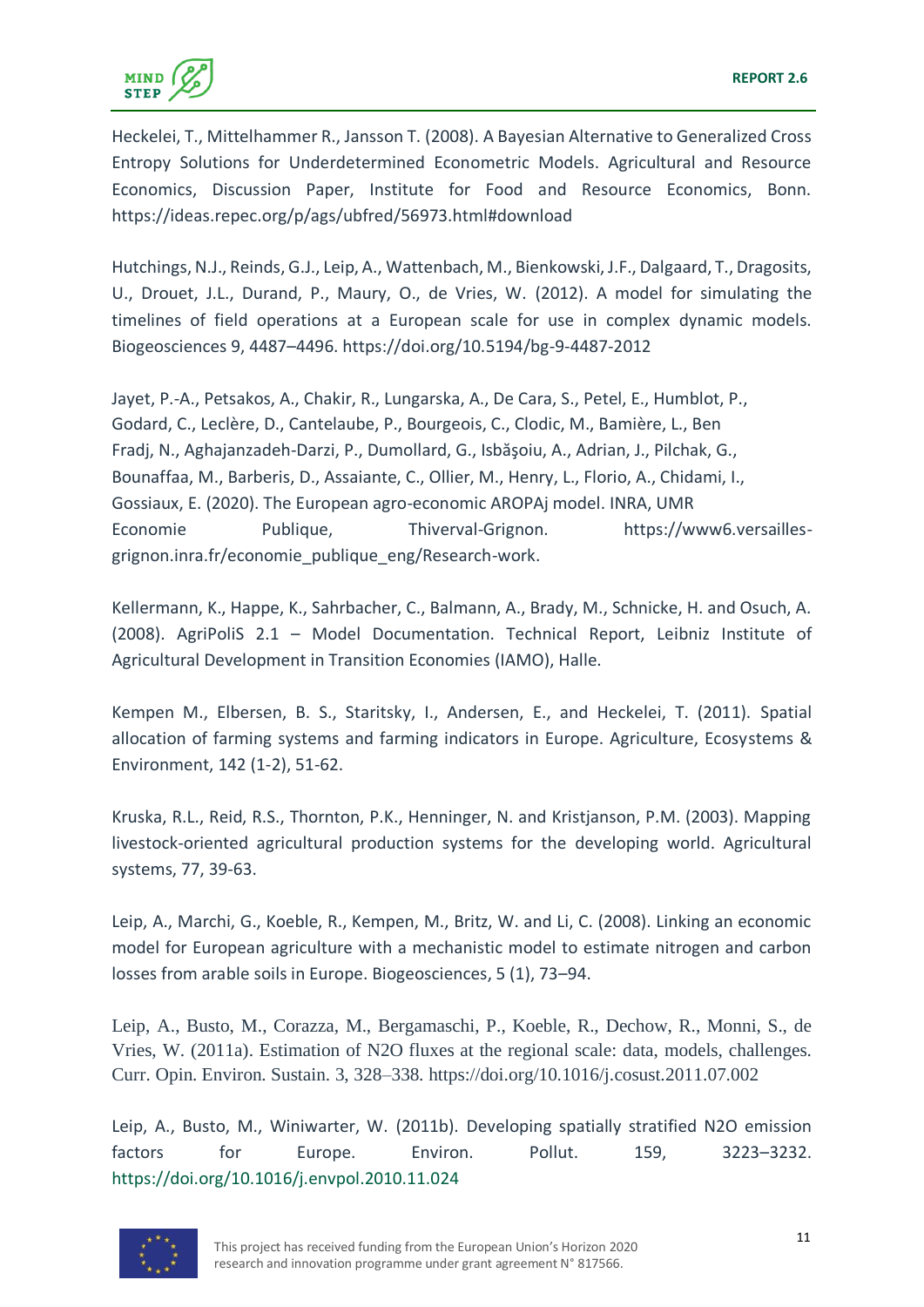

Heckelei, T., Mittelhammer R., Jansson T. (2008). A Bayesian Alternative to Generalized Cross Entropy Solutions for Underdetermined Econometric Models. Agricultural and Resource Economics, Discussion Paper, Institute for Food and Resource Economics, Bonn. https://ideas.repec.org/p/ags/ubfred/56973.html#download

Hutchings, N.J., Reinds, G.J., Leip, A., Wattenbach, M., Bienkowski, J.F., Dalgaard, T., Dragosits, U., Drouet, J.L., Durand, P., Maury, O., de Vries, W. (2012). A model for simulating the timelines of field operations at a European scale for use in complex dynamic models. Biogeosciences 9, 4487–4496. https://doi.org/10.5194/bg-9-4487-2012

Jayet, P.-A., Petsakos, A., Chakir, R., Lungarska, A., De Cara, S., Petel, E., Humblot, P., Godard, C., Leclère, D., Cantelaube, P., Bourgeois, C., Clodic, M., Bamière, L., Ben Fradj, N., Aghajanzadeh-Darzi, P., Dumollard, G., Isbăşoiu, A., Adrian, J., Pilchak, G., Bounaffaa, M., Barberis, D., Assaiante, C., Ollier, M., Henry, L., Florio, A., Chidami, I., Gossiaux, E. (2020). The European agro-economic AROPAj model. INRA, UMR Economie Publique, Thiverval-Grignon. https://www6.versaillesgrignon.inra.fr/economie\_publique\_eng/Research-work.

Kellermann, K., Happe, K., Sahrbacher, C., Balmann, A., Brady, M., Schnicke, H. and Osuch, A. (2008). AgriPoliS 2.1 – Model Documentation. Technical Report, Leibniz Institute of Agricultural Development in Transition Economies (IAMO), Halle.

Kempen M., Elbersen, B. S., Staritsky, I., Andersen, E., and Heckelei, T. (2011). Spatial allocation of farming systems and farming indicators in Europe. Agriculture, Ecosystems & Environment, 142 (1-2), 51-62.

Kruska, R.L., Reid, R.S., Thornton, P.K., Henninger, N. and Kristjanson, P.M. (2003). Mapping livestock-oriented agricultural production systems for the developing world. Agricultural systems, 77, 39-63.

Leip, A., Marchi, G., Koeble, R., Kempen, M., Britz, W. and Li, C. (2008). Linking an economic model for European agriculture with a mechanistic model to estimate nitrogen and carbon losses from arable soils in Europe. Biogeosciences, 5 (1), 73–94.

Leip, A., Busto, M., Corazza, M., Bergamaschi, P., Koeble, R., Dechow, R., Monni, S., de Vries, W. (2011a). Estimation of N2O fluxes at the regional scale: data, models, challenges. Curr. Opin. Environ. Sustain. 3, 328–338. https://doi.org/10.1016/j.cosust.2011.07.002

Leip, A., Busto, M., Winiwarter, W. (2011b). Developing spatially stratified N2O emission factors for Europe. Environ. Pollut. 159, 3223–3232. <https://doi.org/10.1016/j.envpol.2010.11.024>

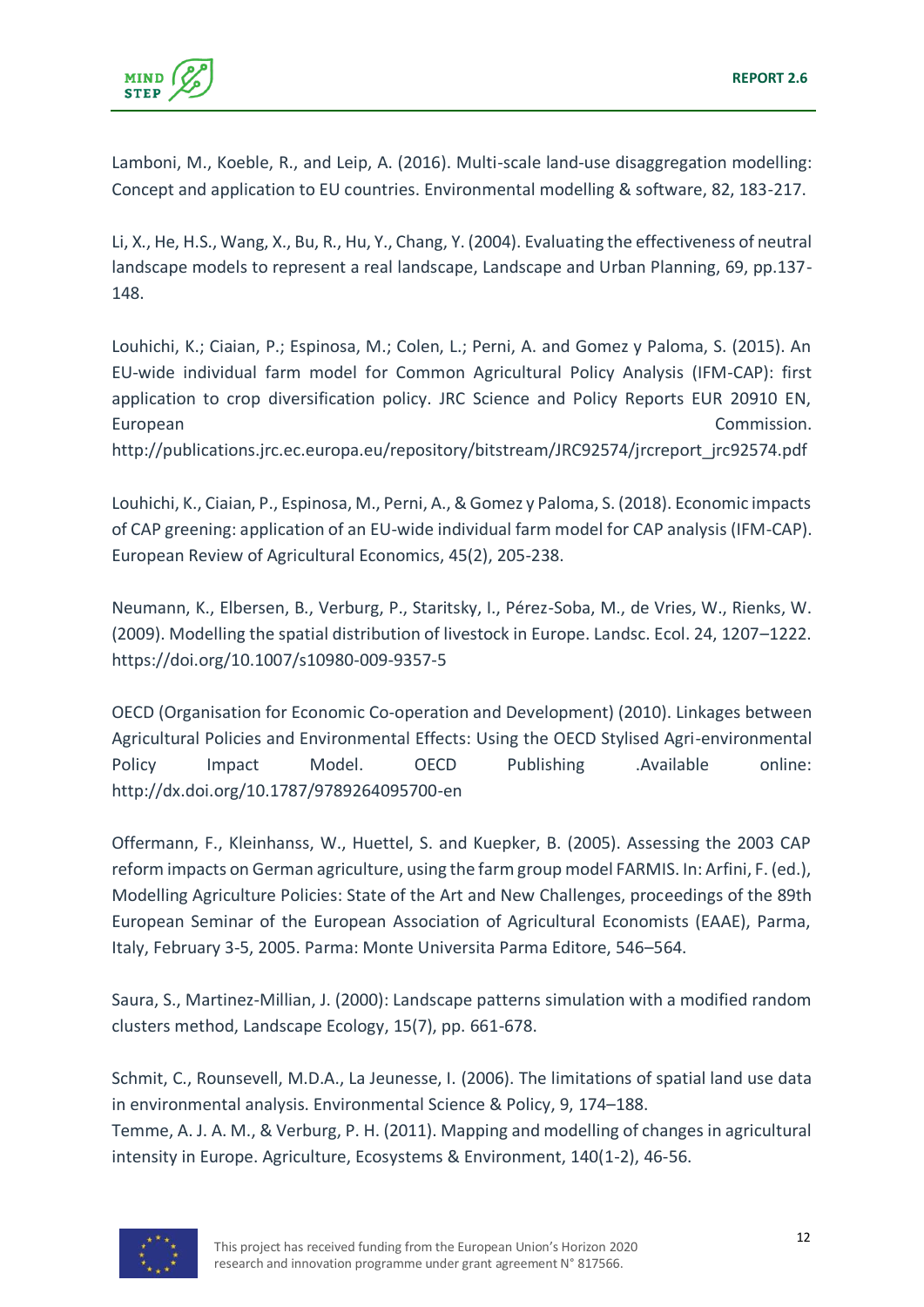

Lamboni, M., Koeble, R., and Leip, A. (2016). Multi-scale land-use disaggregation modelling: Concept and application to EU countries. Environmental modelling & software, 82, 183-217.

Li, X., He, H.S., Wang, X., Bu, R., Hu, Y., Chang, Y. (2004). Evaluating the effectiveness of neutral landscape models to represent a real landscape, Landscape and Urban Planning, 69, pp.137- 148.

Louhichi, K.; Ciaian, P.; Espinosa, M.; Colen, L.; Perni, A. and Gomez y Paloma, S. (2015). An EU-wide individual farm model for Common Agricultural Policy Analysis (IFM-CAP): first application to crop diversification policy. JRC Science and Policy Reports EUR 20910 EN, European Commission. http://publications.jrc.ec.europa.eu/repository/bitstream/JRC92574/jrcreport\_jrc92574.pdf

Louhichi, K., Ciaian, P., Espinosa, M., Perni, A., & Gomez y Paloma, S. (2018). Economic impacts of CAP greening: application of an EU-wide individual farm model for CAP analysis (IFM-CAP). European Review of Agricultural Economics, 45(2), 205-238.

Neumann, K., Elbersen, B., Verburg, P., Staritsky, I., Pérez-Soba, M., de Vries, W., Rienks, W. (2009). Modelling the spatial distribution of livestock in Europe. Landsc. Ecol. 24, 1207–1222. https://doi.org/10.1007/s10980-009-9357-5

OECD (Organisation for Economic Co-operation and Development) (2010). Linkages between Agricultural Policies and Environmental Effects: Using the OECD Stylised Agri-environmental Policy Impact Model. OECD Publishing .Available online: http://dx.doi.org/10.1787/9789264095700-en

Offermann, F., Kleinhanss, W., Huettel, S. and Kuepker, B. (2005). Assessing the 2003 CAP reform impacts on German agriculture, using the farm group model FARMIS. In: Arfini, F. (ed.), Modelling Agriculture Policies: State of the Art and New Challenges, proceedings of the 89th European Seminar of the European Association of Agricultural Economists (EAAE), Parma, Italy, February 3-5, 2005. Parma: Monte Universita Parma Editore, 546–564.

Saura, S., Martinez-Millian, J. (2000): Landscape patterns simulation with a modified random clusters method, Landscape Ecology, 15(7), pp. 661-678.

Schmit, C., Rounsevell, M.D.A., La Jeunesse, I. (2006). The limitations of spatial land use data in environmental analysis. Environmental Science & Policy, 9, 174–188.

Temme, A. J. A. M., & Verburg, P. H. (2011). Mapping and modelling of changes in agricultural intensity in Europe. Agriculture, Ecosystems & Environment, 140(1-2), 46-56.

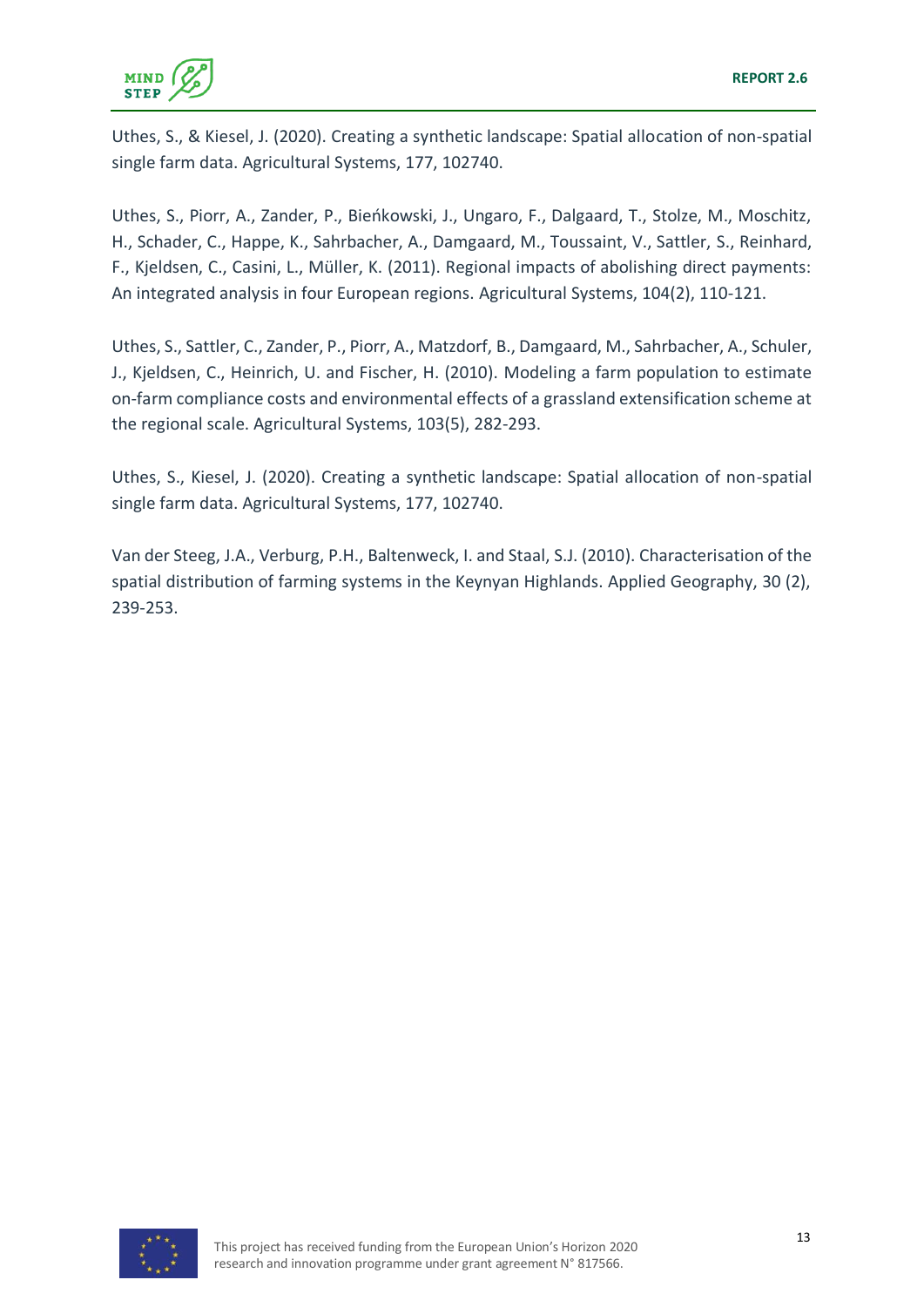

Uthes, S., & Kiesel, J. (2020). Creating a synthetic landscape: Spatial allocation of non-spatial single farm data. Agricultural Systems, 177, 102740.

Uthes, S., Piorr, A., Zander, P., Bieńkowski, J., Ungaro, F., Dalgaard, T., Stolze, M., Moschitz, H., Schader, C., Happe, K., Sahrbacher, A., Damgaard, M., Toussaint, V., Sattler, S., Reinhard, F., Kjeldsen, C., Casini, L., Müller, K. (2011). Regional impacts of abolishing direct payments: An integrated analysis in four European regions. Agricultural Systems, 104(2), 110-121.

Uthes, S., Sattler, C., Zander, P., Piorr, A., Matzdorf, B., Damgaard, M., Sahrbacher, A., Schuler, J., Kjeldsen, C., Heinrich, U. and Fischer, H. (2010). Modeling a farm population to estimate on-farm compliance costs and environmental effects of a grassland extensification scheme at the regional scale. Agricultural Systems, 103(5), 282-293.

Uthes, S., Kiesel, J. (2020). Creating a synthetic landscape: Spatial allocation of non-spatial single farm data. Agricultural Systems, 177, 102740.

Van der Steeg, J.A., Verburg, P.H., Baltenweck, I. and Staal, S.J. (2010). Characterisation of the spatial distribution of farming systems in the Keynyan Highlands. Applied Geography, 30 (2), 239-253.

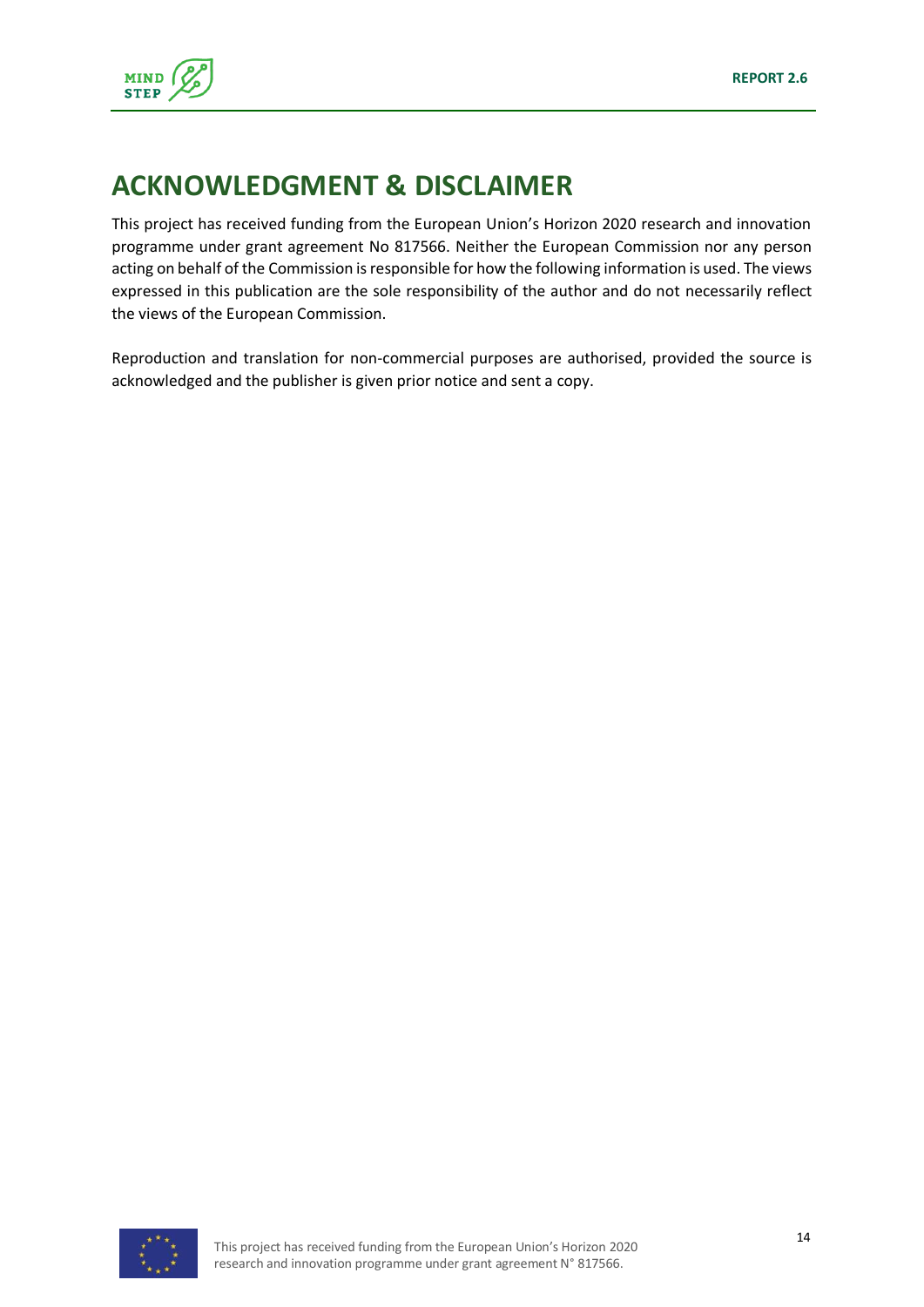

## <span id="page-16-0"></span>**ACKNOWLEDGMENT & DISCLAIMER**

This project has received funding from the European Union's Horizon 2020 research and innovation programme under grant agreement No 817566. Neither the European Commission nor any person acting on behalf of the Commission is responsible for how the following information is used. The views expressed in this publication are the sole responsibility of the author and do not necessarily reflect the views of the European Commission.

Reproduction and translation for non-commercial purposes are authorised, provided the source is acknowledged and the publisher is given prior notice and sent a copy.